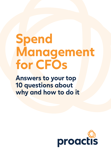# **Spend Management for CFOs**

**Answers to your top 10 questions about why and how to do it** 

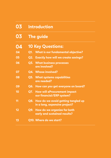| 03 | <b>Introduction</b>                                                     |
|----|-------------------------------------------------------------------------|
| 03 | The guide                                                               |
| 04 | <b>10 Key Questions:</b>                                                |
| 04 | <b>What is our fundamental objective?</b><br>Q1.                        |
| 05 | <b>Q2. Exactly how will we create savings?</b>                          |
| 06 | <b>Q3. What business processes</b><br>are involved?                     |
| 07 | <b>Q4. Whose involved?</b>                                              |
| 08 | <b>Q5. What systems capabilities</b><br>are needed?                     |
| 09 | Q6. How can you get everyone on board?                                  |
| 10 | <b>How will eProcurement impact</b><br>Q7.<br>our financial/ERP system? |
| 11 | Q8. How do we avoid getting tangled up<br>in a long, expensive project? |
| 12 | Q9. How do we organize for both<br>early and sustained results?         |
| 13 | Q10. Where do we start?                                                 |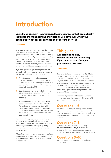# **Introduction**

**Spend Management is a structured business process that dramatically increases the management and visibility you have over what your organization spends for all types of goods and services.**

It's a process you use to significantly reduce costs by ensuring that only needed and authorized goods and services are purchased, and by making sure you obtain the best possible value when they are. It also serves to dramatically reduce invoice processing time, effort and costs in Accounts Payable, as well as creating greater efficiencies in procurement and throughout your organization.

If you think your ERP system has procurement covered, think again. Most procurement systems are outside the bounds of ERP because:

- $\bullet$ Spend management is about managing business processes that are outside the realm of ERP. For instance, it manages the processes before a PO or invoice hits ERP and before a supplier is added to ERP.
- Spend management uses a whole range of information about suppliers, RFPs, contracts and catalogs that your ERP isn't capable of handling.
- Spend management involves many more people than those who use the ERP system. Parts of your procurement system will be used by practically every employee in your organization. Other parts will be used by your suppliers who are outside the four walls of your organization.

Because business processes are so different, and because so many people will always be 'nonexpert' users, modern procurement systems have been designed to remove complexity and guide users through an intuitive and automated stepby-step process.

Alternatively, you may experience using little to no automation to manage your procurement process, using manual processes with a lot of paper and spreadsheets

### **This guide**

**will establish the key considerations for uncovering if you need to transform your procurement processes.** 

Taking control over your spend doesn't just lie in the technology you deploy, it's very much about how your Procurement team, your Accounts Payable (AP) team, your operational departments, and your senior financial executives work together to create saving opportunities and capture financial data that helps you make decisions. There is an organizational discipline that's instilled to support the bigger picture.

If looking at procurement to see how you can reduce costs is on the next to-do list, here are 10 key questions to get you started.

# **Questions 1-6**

are intended to help you identify what you are trying to achieve by managing spend, clarify the business processes that are involved and outline a few reasons why procurement brings value to the business.

## **Questions 7-8**

focus specifically on the relationship of your procurement system with your finance or ERP system and the seamless integration it should accomplish for true automation and a holistic view.

### **Questions 9-10**

will help with change management and project organization.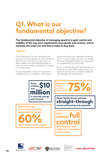# **Q1. What is our fundamental objective?**

**The fundamental objective of managing spend is to gain control and visibility of the way your organization buys goods and services, and to minimize the total cost and time it takes to buy them.**

This includes the actual cost of the goods and services, the internal operational costs of obtaining them, and the costs that occur when there is a delay in delivery, less than expected quality, or when any form of liability is passed from a supplier to the organization.

Though easily stated, meeting this objective is a challenge when you consider the wide range of

goods and services your organization purchases over the course of a year, and when you consider the range of people throughout your organization and supplier base who are involved.

But it's a challenge well worth attacking because the return is so great. Many organizations in all types of businesses have successfully addressed this challenge with amazing results.



**60% Bedford Borough Council reduces invoices processing time by over**

**with Proactis invoice capture**

**Halliburton reduces<br>purchase production of the contract of the contract of the contract of the contract of the contract of the contract of the contract of the contract of the contract of the contract of the contract of th reduces purchase order cost by**

**straight-through Bauer Media Group achieves invoice processing and payments**

**full control a.s.r achieves with company-wide insight into expenditure and contracts**







de nederlandse verzekerings<br>mααtschαppij voor alle<br>verzekeringen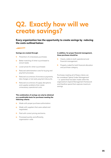# **Q2. Exactly how will we create savings?**

**Every organization has the opportunity to create savings by reducing the costs outlined below:**

#### **Savings are created through:**

- Prevention of unnecessary purchases.  $\circledcirc$
- Better matching of what is purchased to  $\circledcirc$ actual needs.
- **Q** Lower prices for what is purchased.
- **Q** Reduced administrative costs for buying and payment processes.
- <sup>©</sup> Reduced occurrences of erroneous payments, late charges or lost early payment discounts.
- <sup>©</sup> Reduced occurrences of supply disruptions and supplier problems that create unnecessary operational costs.

#### **This combination of savings can only be obtained on a predictable basis for purchases meeting the following criteria:**

- $\circledcirc$ Made with proper purchase authorization.
- Made with suppliers that were vetted and  $\circledcirc$ negotiated.
- **Q** Paid with correct pricing and terms.
- **Q** Processed quickly and efficiently, organization-wide.

#### **In addition, for proper financial management, those purchases should be:**

- Clearly visible to both operational and  $\bigcirc$ financial management.
- **C** Properly coded for both financial allocation and purchase category.

Purchases meeting all of these criteria can be considered 'Spend Under Management' – i.e. spend that has been made within the organization's Spend Management framework and therefore spend that captures maximum savings.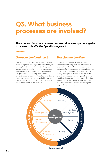# **Q3. What business processes are involved?**

**There are two important business processes that must operate together to achieve truly effective Spend Management:**

### **Source-to-Contract**

can be summarized as finding good suppliers and establishing discounted agreements so employees can buy from them. Functions within this process include sourcing, supplier management, contract management and supplier catalog management. This process is performed by Procurement professionals and cross-functional category teams working collaboratively with stakeholders across the organization to align goods and services sources of supply to the needs of the business.

### **Purchase-to-Pay**

is enabling employees to place purchases for what they need using the suppliers they have already built relationships with (discounted contracts). Purchases are therefore made at lower prices and with suppliers that present less risk. Ideally, employees still can shop for the best fit to their needs, but always with priority given to established suppliers and agreements. Functions within this business process include purchase request, authorization, invoice processing and payment authorization.



**Source-to-Pay**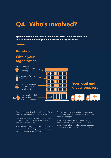# **Q4. Who's involved?**

**Spend management involves all buyers across your organization, as well as a number of people outside your organization.** 

#### **This includes:**

### **Within your organization**



Procurement professionals and category teams.



Accounts Payable (AP) personnel.



Every manager that has responsibility for a budget.



Every employee that needs to buy goods or contract services.



### **Your local and global suppliers**



Procurement and AP professionals have different needs as Operational Managers as to buyers.

Operational managers view purchase requests against budgets and cost pipelines, and to approve or reject requests.

Buyers across the organization need to request or directly buy the things they need to do their jobs for volume buying or one-off purchases.

Suppliers need access to update their information, agreements, and payment terms easily and quick so there is no lag time.

Everyone involved in the procurement process needs to be able to easily and quickly perform these actions to improve efficiency and reduce the amount of time it takes to buy goods and services.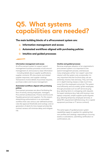# **Q5. What systems capabilities are needed?**

#### **The main building blocks of a eProcurement system are:**

- **Information management and access**  $\circledR$
- **Automated workflows aligned with purchasing policies**
- **Intuitive and guided processes**

#### **Information management and access**

An eProcurement system to support spend management business processes is built around management of, and access to, base information - including details about supplier qualifications, supplier contracts, RFx documents and related supplier responses, and supplier catalogs. Transactions involve details of purchase requests, purchase orders and invoice management.

#### **Automated workflows aligned with purchasing policies**

Procurement processes are about facilitating the flow of activity among employees, managers, Procurement professionals, Finance and Accounts Payable personnel and suppliers. For this reason, streamlining authorizations in an automated workflow that uses various user-defined business rules like approval thresholds and routings; and on generation of alerts for time-based activities like contract reviews will minimize delay and mitigate risk.

#### **Intuitive and guided processes**

Because employee adoption of an organization's procurement system is so important to the spend management process, and because many employees will be 'non-expert' users that interact with the system only occasionally, it is very important that the functions they use are extremely intuitive, fast and easy. They can't rely on in-depth training classes or take much time away from the employee's actual job. The system must efficiently and accurately 'guide' employees through processes such as self-service buying (e.g. selecting items in a shopping cart), requests for expert assistance (e.g. help with buying a new laptop computer), simple supplier quote requests (e.g. selecting temporary employee services), or detail RFx requirement definitions (e.g. for a capital equipment purchase or IT service contract).

The same types of 'guided process' system capabilities apply to suppliers for updating their own profiles and catalogs, responding to sourcing events or solicitations, submitting certification reconfirmations, etc.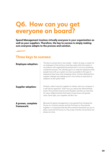# **Q6. How can you get everyone on board?**

**Spend Management involves virtually everyone in your organization as well as your suppliers. Therefore, the key to success is simply making sure everyone adapts to the process and solution.** 

### **Three keys to success:**

| <b>Employee adoption:</b>        | The key to success here is very simple - make it as easy, or easier, for<br>an employee to find and buy what they need within the system in<br>accordance with organizational policies than it is to buy something<br>outside the process. The ultimate goal is to make the experience that<br>people have with your system as close as possible to the type of<br>experience they have when shopping online. Content obtained from<br>supplier catalogs and website punch-outs will be as important to<br>adoption as the system itself. |
|----------------------------------|-------------------------------------------------------------------------------------------------------------------------------------------------------------------------------------------------------------------------------------------------------------------------------------------------------------------------------------------------------------------------------------------------------------------------------------------------------------------------------------------------------------------------------------------|
| <b>Supplier adoption:</b>        | Similarly, make it easy for suppliers to interact with your company in<br>a self-service approach. That's how you reduce the administrative<br>load in Procurement and Accounts Payable, and free up more time<br>for value-added activities that lead to lower prices and greater<br>value. Done right, your suppliers will like it too.                                                                                                                                                                                                 |
| A proven, complete<br>framework: | Because full spend management is only gained from bringing the<br>Source-to-Contract process and the Purchase-to-Pay process<br>together, it is important that the eProcurement framework you put in<br>place covers the full Source-to-Pay scope. And this can be done one<br>phase at a time.                                                                                                                                                                                                                                           |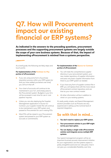# **Q7. How will Procurement impact our existing financial or ERP systems?**

**As indicated in the answers to the preceding questions, procurement processes and the supporting procurement systems are largely outside the scope of your core business systems. Because of that, the impact of implementing eProcurement is minimal from a systems perspective.**

As a brief guide, the following are likely steps and touch points:

#### **For implementation of the Purchase-to-Pay portion of eProcurement:**

- If you are using some form of purchase  $\circledcirc$ requisition process within your ERP system (or that you have added yourselves over time), you will turn that off.
- **<sup>4</sup>** Your chart of accounts will continue to be maintained in your G/L and simply pass to the Procurement system. Budgets in your G/L will be accessed in real-time for use in 'cost pipeline' inquiries.
- **O** Unless you are also deploying the Supplier Management application in Source-to-Contract, your supplier master file will continue to be maintained in your ERP system and passed to Procurement for use in raising POs.
- **6** Most POs will be raised in your Procurement system and passed to your ERP system as accruals or commitments.

#### **For implementation of the Source-to-Contract portion of eProcurement:**

- $\mathbb{C}$ You will make the comprehensive supplier directory in your procurement system, your new master repository of supplier information and pass only basic supplier information from there to your ERP system as needed.
- $\bullet$  If you have any form of supplier contract file in ERP, you will replace that with the more robust eProcurement contract repository and use that as your new contract master.
- <sup>4</sup> All other information will be in addition to what is in your existing systems.

It's really pretty simple, and Spend Management solution providers such as Proactis are very experienced in setting up the nominal level of required integration.

### **So with that in mind…**

- **You don't need to replace your ERP system.**  $\mathbb{O}$
- $\circledcirc$ **Your procurement solution in your ERP might not be your best option.**
- $\odot$ **You can deploy a single-wide eProcurement solution and integrate across multiple ERP systems.**

Your spend management program will be an important business process improvement initiative for your organization, but the systems aspect is pretty straightforward and non-disruptive. And it can give you considerable flexibility over time.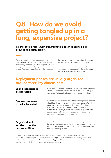# **Q8. How do we avoid getting tangled up in a long, expensive project?**

**Rolling-out a procurement transformation doesn't need to be an arduous and costly project.**

There is no need for a 'big bang' approach where you 'go live' with everything and everyone immediately. Although your ultimate goal is to have your spend management program 'firing on all cylinders' by covering the Source-to-Pay process,

those areas are not completely interdependent, nor are the spend categories you address.

Spend management roll-outs are easily segmented into manageable mini-projects that have ROI associated with each step.

### **Deployment phases are usually organized around three key dimensions:**

| <b>Spend categories to</b><br>be addressed:                | e.g. start with a single category such as IT spend, or a grouping<br>of categories that are similar; move through all your categories<br>and associated suppliers in sequence of expected savings.                                                                                                                                                                                                                                            |
|------------------------------------------------------------|-----------------------------------------------------------------------------------------------------------------------------------------------------------------------------------------------------------------------------------------------------------------------------------------------------------------------------------------------------------------------------------------------------------------------------------------------|
| <b>Business processes</b><br>to be implemented:            | e.g. start with the Purchase-to-Pay process to get a foundation<br>of solid purchase authorization managements and AP efficiency<br>gains, then move on to tackle each element of the Source-<br>to-Contract process to incrementally expand the range of<br>suppliers with whom you have competitively negotiated cost-<br>saving agreements, and to improve the supplier and catalog<br>information integrated into the purchasing process. |
| Organizational<br>entities to use the<br>new capabilities: | e.g. start with your headquarters operation or a particular<br>business unit to gain experience and refine your processes, then<br>expand to all your branch locations and business units around<br>the world one step at a time.                                                                                                                                                                                                             |

By making each phase a manageable combination of spend categories, business processes and organizational entities, you can closely control the scope of each mini project, measuring results and making refinements as you go. Using this approach, you will find that you realize increased savings on a steady basis with little organizational trauma or business risk.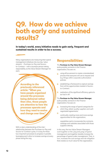# **Q9. How do we achieve both early and sustained results?**

**In today's world, every initiative needs to gain early, frequent and sustained results in order to be a success.**

Many organizations are measuring their spend management initiatives into two key 'value streams' – Purchase-to-Pay and Sourceto-Contract – with a business person taking responsibility as the Value Stream Manager for each.

> **According to the previously referenced article: "When you have people organized around the processes being delivered rather than silos, those people are attentive to how the processes operate and how they need to evolve and change over time."**

With a clear understanding of the interrelationship between the Purchase-to-Pay and Source-to-Contract cycles, it is easy for these two important processes to progress in parallel, leveraging each other to increase savings at every phase along the way.

### **Responsibilities:**

The **Purchase-to-Pay Value Stream Manager**, quite possibly someone in the Finance organization, focuses on:

- using eProcurement to create a standardized process that everyone will use to request and buy things within corporate authorization policies;
- establishing a framework to capture savings  $\circledcirc$ from all the opportunities created in Sourceto-Contract;
- $\bigcirc$ realization of the significant efficiency gains to be had in AP.

The **Purchase-to-Pay Value Stream Manager**, quite possibly someone in the Finance organization, focuses on:

- increasing the range of spend categories for which they obtain quality suppliers and wellnegotiated agreements;  $\ddot{\circ}$ 
	- continually creating more and more savings opportunities for the organization;

capabilities sed to incorporate the contracts, catalogs and websites associated with those suppliers directly.

In this way, the two Value Stream Managers work together on the 'ying and yang' of spend management and together steadily increase the percentage of spend under management. That, in turn, increases the cost savings and risk mitigation that creates so much value for the organization.